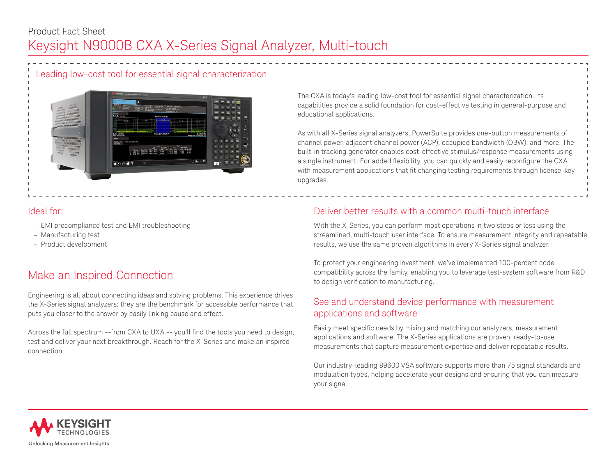Leading low-cost tool for essential signal characterization



### Ideal for:

- EMI precompliance test and EMI troubleshooting
- Manufacturing test
- Product development

# Make an Inspired Connection

Engineering is all about connecting ideas and solving problems. This experience drives the X-Series signal analyzers: they are the benchmark for accessible performance that puts you closer to the answer by easily linking cause and effect.

Across the full spectrum --from CXA to UXA -- you'll find the tools you need to design, test and deliver your next breakthrough. Reach for the X-Series and make an inspired connection.

The CXA is today's leading low-cost tool for essential signal characterization. Its capabilities provide a solid foundation for cost-effective testing in general-purpose and educational applications.

As with all X-Series signal analyzers, PowerSuite provides one-button measurements of channel power, adjacent channel power (ACP), occupied bandwidth (OBW), and more. The built-in tracking generator enables cost-effective stimulus/response measurements using a single instrument. For added flexibility, you can quickly and easily reconfigure the CXA with measurement applications that fit changing testing requirements through license-key upgrades.

## Deliver better results with a common multi-touch interface

With the X-Series, you can perform most operations in two steps or less using the streamlined, multi-touch user interface. To ensure measurement integrity and repeatable results, we use the same proven algorithms in every X-Series signal analyzer.

To protect your engineering investment, we've implemented 100-percent code compatibility across the family, enabling you to leverage test-system software from R&D to design verification to manufacturing.

## See and understand device performance with measurement applications and software

Easily meet specific needs by mixing and matching our analyzers, measurement applications and software. The X-Series applications are proven, ready-to-use measurements that capture measurement expertise and deliver repeatable results.

Our industry-leading 89600 VSA software supports more than 75 signal standards and modulation types, helping accelerate your designs and ensuring that you can measure your signal.